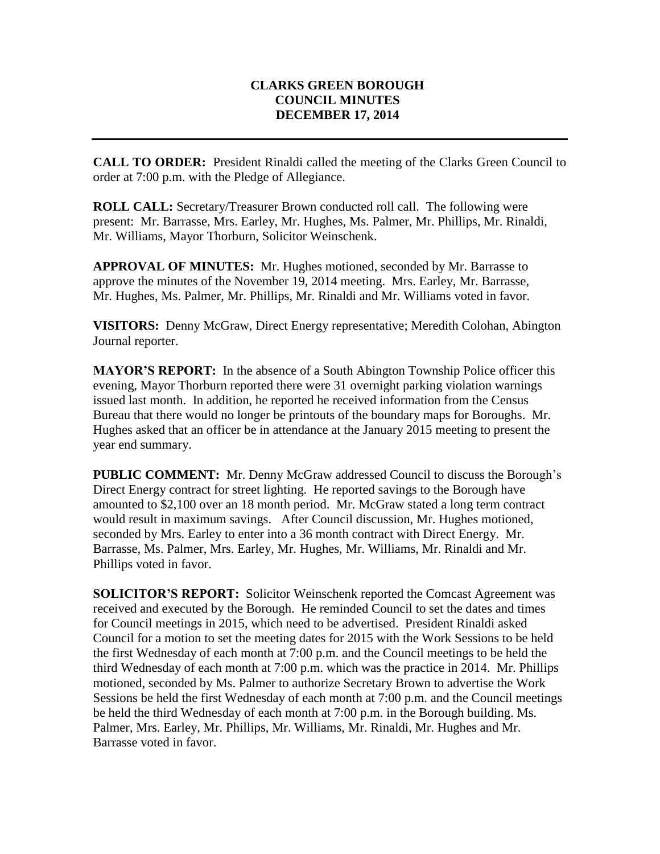## **CLARKS GREEN BOROUGH COUNCIL MINUTES DECEMBER 17, 2014**

**CALL TO ORDER:** President Rinaldi called the meeting of the Clarks Green Council to order at 7:00 p.m. with the Pledge of Allegiance.

**ROLL CALL:** Secretary/Treasurer Brown conducted roll call. The following were present: Mr. Barrasse, Mrs. Earley, Mr. Hughes, Ms. Palmer, Mr. Phillips, Mr. Rinaldi, Mr. Williams, Mayor Thorburn, Solicitor Weinschenk.

**APPROVAL OF MINUTES:** Mr. Hughes motioned, seconded by Mr. Barrasse to approve the minutes of the November 19, 2014 meeting. Mrs. Earley, Mr. Barrasse, Mr. Hughes, Ms. Palmer, Mr. Phillips, Mr. Rinaldi and Mr. Williams voted in favor.

**VISITORS:** Denny McGraw, Direct Energy representative; Meredith Colohan, Abington Journal reporter.

**MAYOR'S REPORT:** In the absence of a South Abington Township Police officer this evening, Mayor Thorburn reported there were 31 overnight parking violation warnings issued last month. In addition, he reported he received information from the Census Bureau that there would no longer be printouts of the boundary maps for Boroughs. Mr. Hughes asked that an officer be in attendance at the January 2015 meeting to present the year end summary.

**PUBLIC COMMENT:** Mr. Denny McGraw addressed Council to discuss the Borough's Direct Energy contract for street lighting. He reported savings to the Borough have amounted to \$2,100 over an 18 month period. Mr. McGraw stated a long term contract would result in maximum savings. After Council discussion, Mr. Hughes motioned, seconded by Mrs. Earley to enter into a 36 month contract with Direct Energy. Mr. Barrasse, Ms. Palmer, Mrs. Earley, Mr. Hughes, Mr. Williams, Mr. Rinaldi and Mr. Phillips voted in favor.

**SOLICITOR'S REPORT:** Solicitor Weinschenk reported the Comcast Agreement was received and executed by the Borough. He reminded Council to set the dates and times for Council meetings in 2015, which need to be advertised. President Rinaldi asked Council for a motion to set the meeting dates for 2015 with the Work Sessions to be held the first Wednesday of each month at 7:00 p.m. and the Council meetings to be held the third Wednesday of each month at 7:00 p.m. which was the practice in 2014. Mr. Phillips motioned, seconded by Ms. Palmer to authorize Secretary Brown to advertise the Work Sessions be held the first Wednesday of each month at 7:00 p.m. and the Council meetings be held the third Wednesday of each month at 7:00 p.m. in the Borough building. Ms. Palmer, Mrs. Earley, Mr. Phillips, Mr. Williams, Mr. Rinaldi, Mr. Hughes and Mr. Barrasse voted in favor.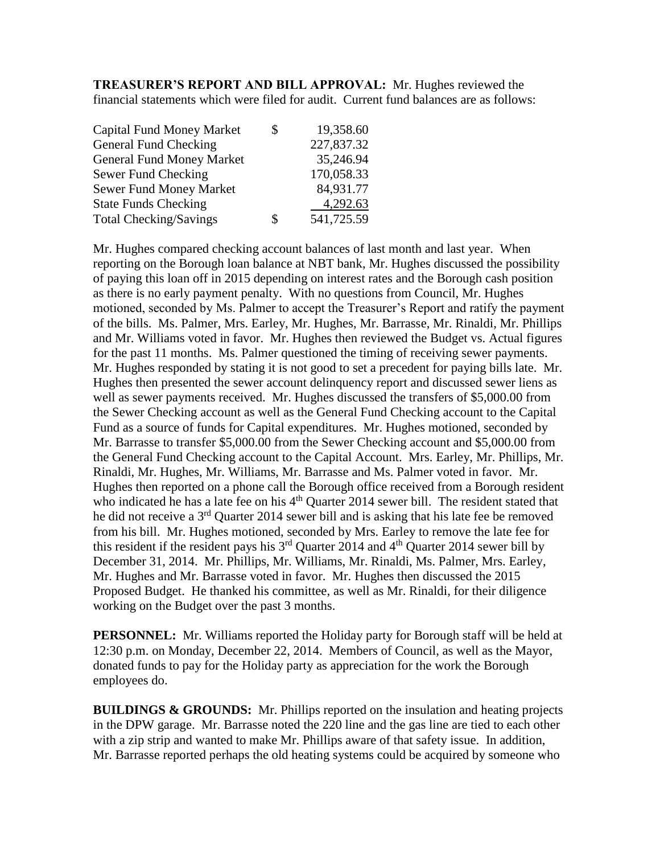**TREASURER'S REPORT AND BILL APPROVAL:** Mr. Hughes reviewed the financial statements which were filed for audit. Current fund balances are as follows:

| <b>Capital Fund Money Market</b> | \$ | 19,358.60  |
|----------------------------------|----|------------|
| General Fund Checking            |    | 227,837.32 |
| <b>General Fund Money Market</b> |    | 35,246.94  |
| Sewer Fund Checking              |    | 170,058.33 |
| <b>Sewer Fund Money Market</b>   |    | 84,931.77  |
| <b>State Funds Checking</b>      |    | 4,292.63   |
| <b>Total Checking/Savings</b>    | S  | 541,725.59 |

Mr. Hughes compared checking account balances of last month and last year. When reporting on the Borough loan balance at NBT bank, Mr. Hughes discussed the possibility of paying this loan off in 2015 depending on interest rates and the Borough cash position as there is no early payment penalty. With no questions from Council, Mr. Hughes motioned, seconded by Ms. Palmer to accept the Treasurer's Report and ratify the payment of the bills. Ms. Palmer, Mrs. Earley, Mr. Hughes, Mr. Barrasse, Mr. Rinaldi, Mr. Phillips and Mr. Williams voted in favor. Mr. Hughes then reviewed the Budget vs. Actual figures for the past 11 months. Ms. Palmer questioned the timing of receiving sewer payments. Mr. Hughes responded by stating it is not good to set a precedent for paying bills late. Mr. Hughes then presented the sewer account delinquency report and discussed sewer liens as well as sewer payments received. Mr. Hughes discussed the transfers of \$5,000.00 from the Sewer Checking account as well as the General Fund Checking account to the Capital Fund as a source of funds for Capital expenditures. Mr. Hughes motioned, seconded by Mr. Barrasse to transfer \$5,000.00 from the Sewer Checking account and \$5,000.00 from the General Fund Checking account to the Capital Account. Mrs. Earley, Mr. Phillips, Mr. Rinaldi, Mr. Hughes, Mr. Williams, Mr. Barrasse and Ms. Palmer voted in favor. Mr. Hughes then reported on a phone call the Borough office received from a Borough resident who indicated he has a late fee on his 4<sup>th</sup> Quarter 2014 sewer bill. The resident stated that he did not receive a 3rd Quarter 2014 sewer bill and is asking that his late fee be removed from his bill. Mr. Hughes motioned, seconded by Mrs. Earley to remove the late fee for this resident if the resident pays his  $3<sup>rd</sup>$  Quarter 2014 and  $4<sup>th</sup>$  Quarter 2014 sewer bill by December 31, 2014. Mr. Phillips, Mr. Williams, Mr. Rinaldi, Ms. Palmer, Mrs. Earley, Mr. Hughes and Mr. Barrasse voted in favor. Mr. Hughes then discussed the 2015 Proposed Budget. He thanked his committee, as well as Mr. Rinaldi, for their diligence working on the Budget over the past 3 months.

**PERSONNEL:** Mr. Williams reported the Holiday party for Borough staff will be held at 12:30 p.m. on Monday, December 22, 2014. Members of Council, as well as the Mayor, donated funds to pay for the Holiday party as appreciation for the work the Borough employees do.

**BUILDINGS & GROUNDS:** Mr. Phillips reported on the insulation and heating projects in the DPW garage. Mr. Barrasse noted the 220 line and the gas line are tied to each other with a zip strip and wanted to make Mr. Phillips aware of that safety issue. In addition, Mr. Barrasse reported perhaps the old heating systems could be acquired by someone who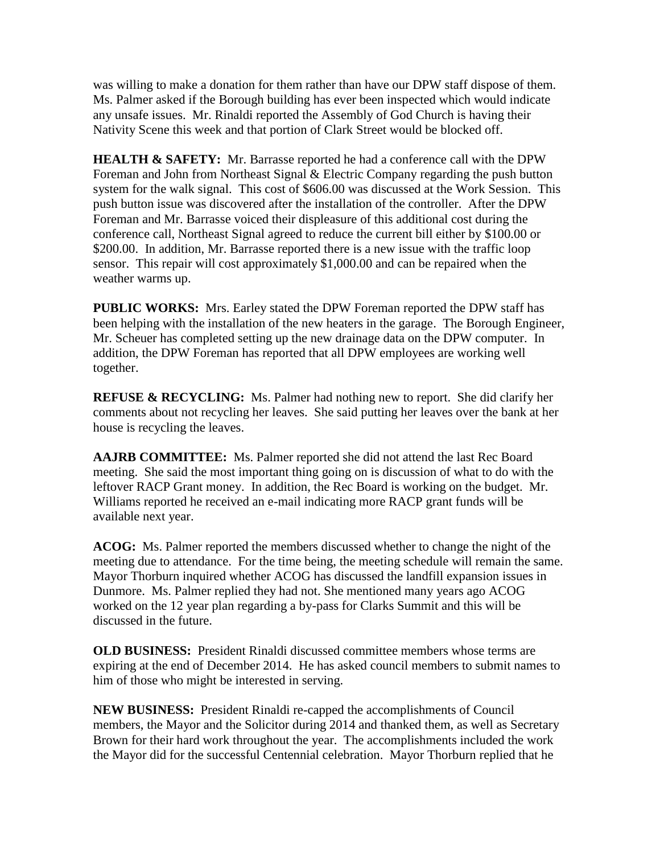was willing to make a donation for them rather than have our DPW staff dispose of them. Ms. Palmer asked if the Borough building has ever been inspected which would indicate any unsafe issues. Mr. Rinaldi reported the Assembly of God Church is having their Nativity Scene this week and that portion of Clark Street would be blocked off.

**HEALTH & SAFETY:** Mr. Barrasse reported he had a conference call with the DPW Foreman and John from Northeast Signal & Electric Company regarding the push button system for the walk signal. This cost of \$606.00 was discussed at the Work Session. This push button issue was discovered after the installation of the controller. After the DPW Foreman and Mr. Barrasse voiced their displeasure of this additional cost during the conference call, Northeast Signal agreed to reduce the current bill either by \$100.00 or \$200.00. In addition, Mr. Barrasse reported there is a new issue with the traffic loop sensor. This repair will cost approximately \$1,000.00 and can be repaired when the weather warms up.

**PUBLIC WORKS:** Mrs. Earley stated the DPW Foreman reported the DPW staff has been helping with the installation of the new heaters in the garage. The Borough Engineer, Mr. Scheuer has completed setting up the new drainage data on the DPW computer. In addition, the DPW Foreman has reported that all DPW employees are working well together.

**REFUSE & RECYCLING:** Ms. Palmer had nothing new to report. She did clarify her comments about not recycling her leaves. She said putting her leaves over the bank at her house is recycling the leaves.

**AAJRB COMMITTEE:** Ms. Palmer reported she did not attend the last Rec Board meeting. She said the most important thing going on is discussion of what to do with the leftover RACP Grant money. In addition, the Rec Board is working on the budget. Mr. Williams reported he received an e-mail indicating more RACP grant funds will be available next year.

**ACOG:** Ms. Palmer reported the members discussed whether to change the night of the meeting due to attendance. For the time being, the meeting schedule will remain the same. Mayor Thorburn inquired whether ACOG has discussed the landfill expansion issues in Dunmore. Ms. Palmer replied they had not. She mentioned many years ago ACOG worked on the 12 year plan regarding a by-pass for Clarks Summit and this will be discussed in the future.

**OLD BUSINESS:** President Rinaldi discussed committee members whose terms are expiring at the end of December 2014. He has asked council members to submit names to him of those who might be interested in serving.

**NEW BUSINESS:** President Rinaldi re-capped the accomplishments of Council members, the Mayor and the Solicitor during 2014 and thanked them, as well as Secretary Brown for their hard work throughout the year. The accomplishments included the work the Mayor did for the successful Centennial celebration. Mayor Thorburn replied that he